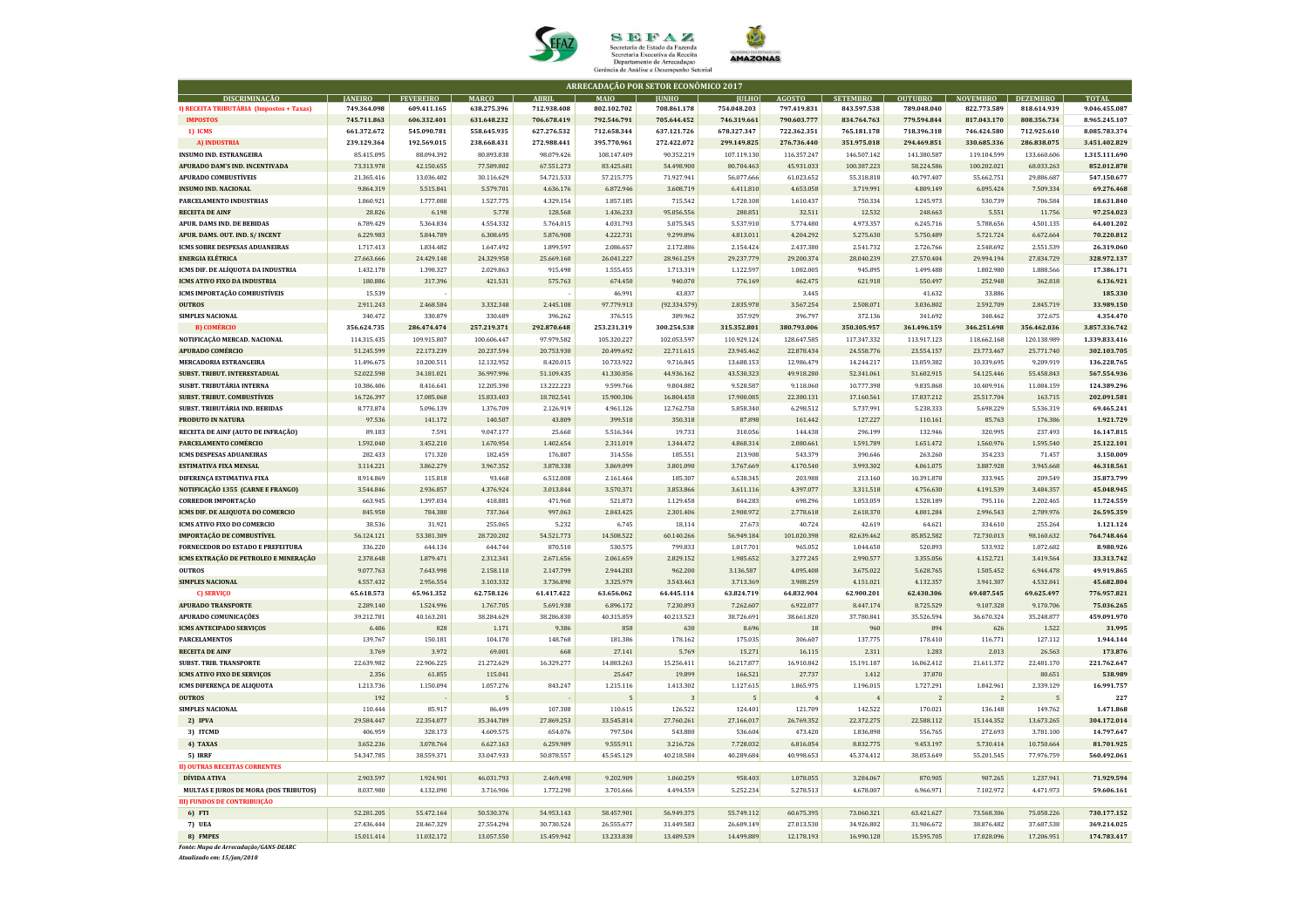| ARRECADAÇÃO POR SETOR ECONÔMICO 2017                 |                         |                         |                         |                         |                         |                         |                         |                         |                         |                         |                         |                         |                           |
|------------------------------------------------------|-------------------------|-------------------------|-------------------------|-------------------------|-------------------------|-------------------------|-------------------------|-------------------------|-------------------------|-------------------------|-------------------------|-------------------------|---------------------------|
| <b>DISCRIMINAÇÃO</b>                                 | <b>JANEIRO</b>          | <b>FEVEREIRO</b>        | <b>MARÇO</b>            | <b>ABRIL</b>            | <b>MAIO</b>             | <b>JUNHO</b>            | <b>JULHO</b>            | <b>AGOSTO</b>           | <b>SETEMBRO</b>         | <b>OUTUBRO</b>          | <b>NOVEMBRO</b>         | <b>DEZEMBRO</b>         | <b>TOTAL</b>              |
| I) RECEITA TRIBUTÁRIA (Impostos + Taxas)             | 749.364.098             | 609.411.165             | 638.275.396             | 712.938.408             | 802.102.702             | 708.861.178             | 754.048.203             | 797.419.831             | 843.597.538             | 789.048.040             | 822.773.589             | 818.614.939             | 9.046.455.087             |
| <b>IMPOSTOS</b>                                      | 745.711.863             | 606.332.401             | 631.648.232             | 706.678.419             | 792.546.791             | 705.644.452             | 746.319.661             | 790.603.777             | 834.764.763             | 779.594.844             | 817.043.170             | 808.356.734             | 8.965.245.107             |
| 1) ICMS                                              | 661.372.672             | 545.090.781             | 558.645.935             | 627.276.532             | 712.658.344             | 637.121.726             | 678.327.347             | 722.362.351             | 765.181.178             | 718.396.318             | 746.424.580             | 712.925.610             | 8.085.783.374             |
| A) INDUSTRIA                                         | 239.129.364             | 192.569.015             | 238.668.431             | 272.988.441             | 395.770.961             | 272.422.072             | 299.149.825             | 276.736.440             | 351.975.018             | 294.469.851             | 330.685.336             | 286.838.075             | 3.451.402.829             |
| <b>INSUMO IND. ESTRANGEIRA</b>                       | 85.415.095              | 88.094.392              | 80.893.838              | 98.079.426              | 108.147.409             | 90.352.219              | 107.119.130             | 116.357.247             | 146.507.142             | 141.380.587             | 119.104.599             | 133.660.606             | 1.315.111.690             |
| APURADO DAM'S IND. INCENTIVADA                       | 73.313.978              | 42.150.655              | 77.589.802              | 67.551.273              | 83.425.681              | 54.498.900              | 80.704.463              | 45.931.033              | 100.387.223             | 58.224.586              | 100.202.021             | 68.033.263              | 852.012.878               |
| <b>APURADO COMBUSTÍVEIS</b>                          | 21.365.416              | 13.036.402              | 30.116.629              | 54.721.533              | 57.215.775              | 71.927.941              | 56.077.666              | 61.023.652              | 55.318.818              | 40.797.407              | 55.662.751              | 29.886.687              | 547.150.677               |
| <b>INSUMO IND. NACIONAL</b>                          | 9.864.319               | 5.515.841               | 5.579.701               | 4.636.176               | 6.872.946               | 3.608.719               | 6.411.810               | 4.653.058               | 3.719.991               | 4.809.149               | 6.095.424               | 7.509.334               | 69.276.468                |
| PARCELAMENTO INDUSTRIAS                              | 1.860.921               | 1.777.088               | 1.527.775<br>5.778      | 4.329.154               | 1.857.185               | 715.542                 | 1.720.108               | 1.610.437               | 750.334                 | 1.245.973               | 530.739                 | 706.584                 | 18.631.840                |
| <b>RECEITA DE AINF</b><br>APUR. DAMS IND. DE BEBIDAS | 28.826<br>6.789.429     | 6.198<br>5.364.834      | 4.554.332               | 128.568<br>5.764.015    | 1.436.233<br>4.031.793  | 95.056.556<br>5.075.545 | 280.851<br>5.537.910    | 32.511<br>5.774.480     | 12.532<br>4.973.357     | 248.663<br>6.245.716    | 5.551<br>5.788.656      | 11.756<br>4.501.135     | 97.254.023<br>64.401.202  |
| APUR. DAMS. OUT. IND. S/ INCENT                      | 6.229.983               | 5.844.789               | 6.308.695               | 5.876.908               | 4.222.731               | 9.299.896               | 4.813.011               | 4.204.292               | 5.275.630               | 5.750.489               | 5.721.724               | 6.672.664               | 70.220.812                |
| ICMS SOBRE DESPESAS ADUANEIRAS                       | 1.717.413               | 1.834.482               | 1.647.492               | 1.899.597               | 2.086.657               | 2.172.886               | 2.154.424               | 2.437.380               | 2.541.732               | 2.726.766               | 2.548.692               | 2.551.539               | 26.319.060                |
| <b>ENERGIA ELÉTRICA</b>                              | 27.663.666              | 24.429.148              | 24.329.958              | 25.669.160              | 26.041.227              | 28.961.259              | 29.237.779              | 29.200.374              | 28.040.239              | 27.570.404              | 29.994.194              | 27.834.729              | 328.972.137               |
| ICMS DIF. DE ALÍQUOTA DA INDUSTRIA                   | 1.432.178               | 1.398.327               | 2.029.863               | 915.498                 | 1.555.455               | 1.713.319               | 1.122.597               | 1.082.005               | 945.895                 | 1.499.488               | 1.802.980               | 1.888.566               | 17.386.171                |
| <b>ICMS ATIVO FIXO DA INDUSTRIA</b>                  | 180.886                 | 317.396                 | 421.531                 | 575.763                 | 674.450                 | 940.070                 | 776.169                 | 462.475                 | 621.918                 | 550.497                 | 252.948                 | 362.818                 | 6.136.921                 |
| ICMS IMPORTAÇÃO COMBUSTÍVEIS                         | 15.539                  |                         |                         |                         | 46.991                  | 43.837                  |                         | 3.445                   |                         | 41.632                  | 33.886                  |                         | 185.330                   |
| <b>OUTROS</b>                                        | 2.911.243               | 2.468.584               | 3.332.348               | 2.445.108               | 97.779.913              | (92.334.579)            | 2.835.978               | 3.567.254               | 2.508.071               | 3.036.802               | 2.592.709               | 2.845.719               | 33.989.150                |
| <b>SIMPLES NACIONAL</b>                              | 340.472                 | 330.879                 | 330.689                 | 396.262                 | 376.515                 | 389.962                 | 357.929                 | 396.797                 | 372.136                 | 341.692                 | 348.462                 | 372.675                 | 4.354.470                 |
| <b>B) COMÉRCIO</b>                                   | 356.624.735             | 286.474.474             | 257.219.371             | 292.870.648             | 253.231.319             | 300.254.538             | 315.352.801             | 380.793.006             | 350.305.957             | 361.496.159             | 346.251.698             | 356.462.036             | 3.857.336.742             |
| NOTIFICAÇÃO MERCAD. NACIONAL                         | 114.315.435             | 109.915.807             | 100.606.447             | 97.979.582              | 105.320.227             | 102.053.597             | 110.929.124             | 128.647.585             | 117.347.332             | 113.917.123             | 118.662.168             | 120.138.989             | 1.339.833.416             |
| <b>APURADO COMÉRCIO</b>                              | 51.245.599              | 22.173.239              | 20.237.594              | 20.753.930              | 20.499.692              | 22.711.615              | 23.945.462              | 22.878.434              | 24.558.776              | 23.554.157              | 23.773.467              | 25.771.740              | 302.103.705               |
| <b>MERCADORIA ESTRANGEIRA</b>                        | 11.496.675              | 10.200.511              | 12.132.952              | 8.420.015               | 10.733.922              | 9.716.845               | 13.688.153              | 12.986.479              | 14.244.217              | 13.059.382              | 10.339.695              | 9.209.919               | 136.228.765               |
| SUBST. TRIBUT. INTERESTADUAL                         | 52.022.598              | 34.181.021              | 36.997.996              | 51.109.435              | 41.330.856              | 44.936.162              | 43.530.323              | 49.918.280              | 52.341.061              | 51.602.915              | 54.125.446              | 55.458.843              | 567.554.936               |
| SUSBT. TRIBUTÁRIA INTERNA                            | 10.386.406              | 8.416.641               | 12.205.390              | 13.222.223              | 9.599.766               | 9.804.882               | 9.528.587               | 9.118.060               | 10.777.398              | 9.835.868               | 10.409.916              | 11.084.159              | 124.389.296               |
| <b>SUBST. TRIBUT. COMBUSTÍVEIS</b>                   | 16.726.397              | 17.085.068              | 15.833.403              | 18.782.541              | 15.900.306              | 16.804.458              | 17.900.085              | 22.380.131              | 17.160.561              | 17.837.212              | 25.517.704              | 163.715                 | 202.091.581               |
| SUBST. TRIBUTÁRIA IND. BEBIDAS                       | 8.773.874               | 5.096.139               | 1.376.709               | 2.126.919               | 4.961.126               | 12.762.750              | 5.858.340               | 6.298.512               | 5.737.991               | 5.238.333               | 5.698.229               | 5.536.319               | 69.465.241                |
| PRODUTO IN NATURA                                    | 97.536                  | 141.172                 | 140.507                 | 43.809                  | 399.510                 | 350.318                 | 87.898                  | 161.442                 | 127.227                 | 110.161                 | 85.763                  | 176.386                 | 1.921.729                 |
| RECEITA DE AINF (AUTO DE INFRAÇÃO)                   | 89.183                  | 7.591                   | 9.047.177               | 25.660                  | 5.516.344               | 19.733                  | 310.056                 | 144.438                 | 296.199                 | 132.946                 | 320.995                 | 237.493                 | 16.147.815                |
| PARCELAMENTO COMÉRCIO                                | 1.592.040               | 3.452.210               | 1.670.954               | 1.402.654               | 2.311.019               | 1.344.472               | 4.868.314               | 2.080.661               | 1.591.789               | 1.651.472               | 1.560.976               | 1.595.540               | 25.122.101                |
| <b>ICMS DESPESAS ADUANEIRAS</b>                      | 282.433                 | 171.320                 | 182.459                 | 176.807                 | 314.556                 | 185.551                 | 213.908                 | 543.379                 | 390.646                 | 263.260                 | 354.233                 | 71.457                  | 3.150.009                 |
| <b>ESTIMATIVA FIXA MENSAL</b>                        | 3.114.221               | 3.862.279               | 3.967.352               | 3.878.338               | 3.869.099               | 3.801.090               | 3.767.669               | 4.170.540               | 3.993.302               | 4.061.075               | 3.887.928               | 3.945.668               | 46.318.561                |
| DIFERENÇA ESTIMATIVA FIXA                            | 8.914.869               | 115.818                 | 93.468                  | 6.512.008               | 2.161.464               | 185.307                 | 6.538.345               | 203.988                 | 213.160                 | 10.391.878              | 333.945                 | 209.549                 | 35.873.799                |
| NOTIFICAÇÃO 1355 (CARNE E FRANGO)                    | 3.544.846               | 2.936.857               | 4.376.924               | 3.013.844               | 3.570.371               | 3.853.866               | 3.611.116               | 4.397.077               | 3.311.518               | 4.756.630               | 4.191.539               | 3.484.357               | 45.048.945                |
| <b>CORREDOR IMPORTAÇÃO</b>                           | 663.945                 | 1.397.034               | 418.881                 | 471.960                 | 521.873                 | 1.129.458               | 844.283                 | 698.296                 | 1.053.059               | 1.528.189               | 795.116                 | 2.202.465               | 11.724.559                |
| ICMS DIF. DE ALIQUOTA DO COMERCIO                    | 845.958                 | 784.380                 | 737.364                 | 997.063                 | 2.843.425               | 2.301.406               | 2.900.972               | 2.778.618               | 2.618.370               | 4.001.284               | 2.996.543               | 2.789.976               | 26.595.359                |
| <b>ICMS ATIVO FIXO DO COMERCIO</b>                   | 38.536                  | 31.921                  | 255.065                 | 5.232                   | 6.745                   | 18.114                  | 27.673                  | 40.724                  | 42.619                  | 64.621                  | 334.610                 | 255.264                 | 1.121.124                 |
| <b>IMPORTAÇÃO DE COMBUSTÍVEL</b>                     | 56.124.121              | 53.381.309              | 28.720.202              | 54.521.773              | 14.508.522              | 60.140.266              | 56.949.184              | 101.020.398             | 82.639.462              | 85.852.582              | 72.730.013              | 98.160.632              | 764.748.464               |
| FORNECEDOR DO ESTADO E PREFEITURA                    | 336.220                 | 644.134                 | 644.744                 | 870.510                 | 530.575                 | 799.833                 | 1.017.701               | 965.052                 | 1.044.650               | 520.893                 | 533.932                 | 1.072.682               | 8.980.926                 |
| ICMS EXTRAÇÃO DE PETROLEO E MINERAÇÃO                | 2.378.648               | 1.879.471               | 2.312.341               | 2.671.656               | 2.061.659               | 2.829.152               | 1.985.652               | 3.277.245               | 2.990.577               | 3.355.056               | 4.152.721               | 3.419.564               | 33.313.742                |
| <b>OUTROS</b>                                        | 9.077.763               | 7.643.998               | 2.158.110               | 2.147.799               | 2.944.283               | 962.200                 | 3.136.587               | 4.095.408               | 3.675.022               | 5.628.765               | 1.505.452               | 6.944.478               | 49.919.865                |
| <b>SIMPLES NACIONAL</b>                              | 4.557.432               | 2.956.554               | 3.103.332               | 3.736.890               | 3.325.979               | 3.543.463               | 3.713.369               | 3.988.259               | 4.151.021               | 4.132.357               | 3.941.307               | 4.532.841               | 45.682.804                |
| C) SERVIÇO                                           | 65.618.573              | 65.961.352              | 62.758.126              | 61.417.422              | 63.656.062              | 64.445.114              | 63.824.719              | 64.832.904              | 62.900.201              | 62.430.306              | 69.487.545              | 69.625.497              | 776.957.821               |
| <b>APURADO TRANSPORTE</b><br>APURADO COMUNICAÇÕES    | 2.289.140<br>39.212.781 | 1.524.996<br>40.163.201 | 1.767.705<br>38.284.629 | 5.691.938<br>38.286.830 | 6.896.172<br>40.315.859 | 7.230.893<br>40.213.523 | 7.262.607<br>38.726.691 | 6.922.077<br>38.661.820 | 8.447.174<br>37.780.841 | 8.725.529<br>35.526.594 | 9.107.328<br>36.670.324 | 9.170.706<br>35.248.877 | 75.036.265<br>459.091.970 |
| ICMS ANTECIPADO SERVIÇOS                             | 6.406                   | 828                     | 1.171                   | 9.386                   | 858                     | 630                     | 8.696                   | 18                      | 960                     | 894                     | 626                     | 1.522                   | 31.995                    |
| <b>PARCELAMENTOS</b>                                 | 139.767                 | 150.181                 | 104.170                 | 148.768                 | 181.386                 | 178.162                 | 175.035                 | 306.607                 | 137.775                 | 178.410                 | 116.771                 | 127.112                 | 1.944.144                 |
| <b>RECEITA DE AINF</b>                               | 3.769                   | 3.972                   | 69.001                  | 668                     | 27.141                  | 5.769                   | 15.271                  | 16.115                  | 2.311                   | 1.283                   | 2.013                   | 26.563                  | 173.876                   |
| <b>SUBST. TRIB. TRANSPORTE</b>                       | 22.639.982              | 22.906.225              | 21.272.629              | 16.329.277              | 14.883.263              | 15.256.411              | 16.217.877              | 16.910.842              | 15.191.187              | 16.062.412              | 21.611.372              | 22.481.170              | 221.762.647               |
| ICMS ATIVO FIXO DE SERVIÇOS                          | 2.356                   | 61.855                  | 115.041                 |                         | 25.647                  | 19.899                  | 166.521                 | 27.737                  | 1.412                   | 37.870                  |                         | 80.651                  | 538.989                   |
| ICMS DIFERENÇA DE ALIQUOTA                           | 1.213.736               | 1.150.094               | 1.057.276               | 843.247                 | 1.215.116               | 1.413.302               | 1.127.615               | 1.865.975               | 1.196.015               | 1.727.291               | 1.842.961               | 2.339.129               | 16.991.757                |
| <b>OUTROS</b>                                        | 192                     |                         |                         |                         |                         |                         |                         |                         |                         |                         |                         |                         | 227                       |
| <b>SIMPLES NACIONAL</b>                              | 110.444                 | 85.917                  | 86.499                  | 107.308                 | 110.615                 | 126.522                 | 124.401                 | 121.709                 | 142.522                 | 170.021                 | 136.148                 | 149.762                 | 1.471.868                 |
| 2) IPVA                                              | 29.584.447              | 22.354.077              | 35.344.789              | 27.869.253              | 33.545.814              | 27.760.261              | 27.166.017              | 26.769.352              | 22.372.275              | 22.588.112              | 15.144.352              | 13.673.265              | 304.172.014               |
| 3) ITCMD                                             | 406.959                 | 328.173                 | 4.609.575               | 654.076                 | 797.504                 | 543.880                 | 536.604                 | 473.420                 | 1.836.898               | 556.765                 | 272.693                 | 3.781.100               | 14.797.647                |
| 4) TAXAS                                             | 3.652.236               | 3.078.764               | 6.627.163               | 6.259.989               | 9.555.911               | 3.216.726               | 7.728.032               | 6.816.054               | 8.832.775               | 9.453.197               | 5.730.414               | 10.750.664              | 81.701.925                |
| 5) IRRF                                              | 54.347.785              | 38.559.371              | 33.047.933              | 50.878.557              | 45.545.129              | 40.218.584              | 40.289.684              | 40.998.653              | 45.374.412              | 38.053.649              | 55.201.545              | 77.976.759              | 560.492.061               |
| <b>II) OUTRAS RECEITAS CORRENTES</b>                 |                         |                         |                         |                         |                         |                         |                         |                         |                         |                         |                         |                         |                           |
| DÍVIDA ATIVA                                         | 2.903.597               | 1.924.901               | 46.031.793              | 2.469.498               | 9.202.909               | 1.060.259               | 958.403                 | 1.078.055               | 3.284.067               | 870.905                 | 907.265                 | 1.237.941               | 71.929.594                |
| <b>MULTAS E JUROS DE MORA (DOS TRIBUTOS)</b>         | 8.037.980               | 4.132.090               | 3.716.906               | 1.772.290               | 3.701.666               | 4.494.559               | 5.252.234               | 5.278.513               | 4.678.007               | 6.966.971               | 7.102.972               | 4.471.973               | 59.606.161                |
| <b>III) FUNDOS DE CONTRIBUIÇÃO</b>                   |                         |                         |                         |                         |                         |                         |                         |                         |                         |                         |                         |                         |                           |
| <b>6)</b> FTI                                        | 52.281.205              | 55.472.164              | 50.530.376              | 54.953.143              | 58.457.901              | 56.949.375              | 55.749.112              | 60.675.395              | 73.060.321              | 63.421.627              | 73.568.306              | 75.058.226              | 730.177.152               |
| 7) UEA                                               | 27.436.444              | 28.467.329              | 27.554.294              | 30.730.524              | 26.555.677              | 31.449.583              | 26.609.149              | 27.013.530              | 34.926.802              | 31.906.672              | 38.876.482              | 37.687.538              | 369.214.025               |
| 8) FMPES                                             | 15.011.414              | 11.032.172              | 13.057.550              | 15.459.942              | 13.233.838              | 13.489.539              | 14.499.889              | 12.178.193              | 16.990.128              | 15.595.705              | 17.028.096              | 17.206.951              | 174.783.417               |
| Fonte: Mana de Arrecadação/GANS-DEARC                |                         |                         |                         |                         |                         |                         |                         |                         |                         |                         |                         |                         |                           |

*Fonte: Mapa de Arrecadação/GANS-DEARC Atualizado em: 15/jan/2018*





Secretaria de Estado da Fazenda<br>Secretaria Executiva da Receita<br>Departamento de Arrecadação<br>Gerência de Análise e Desempenho Setorial